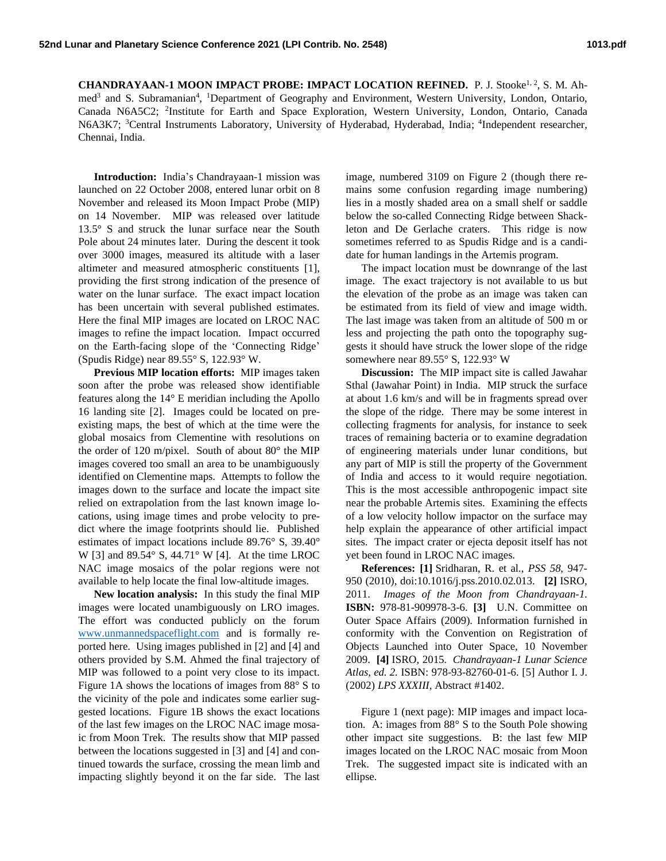CHANDRAYAAN-1 MOON IMPACT PROBE: IMPACT LOCATION REFINED. P. J. Stooke<sup>1, 2</sup>, S. M. Ahmed<sup>3</sup> and S. Subramanian<sup>4</sup>, <sup>1</sup>Department of Geography and Environment, Western University, London, Ontario, Canada N6A5C2; <sup>2</sup>Institute for Earth and Space Exploration, Western University, London, Ontario, Canada N6A3K7; <sup>3</sup>Central Instruments Laboratory, University of Hyderabad, Hyderabad, India; <sup>4</sup>Independent researcher, Chennai, India.

**Introduction:** India's Chandrayaan-1 mission was launched on 22 October 2008, entered lunar orbit on 8 November and released its Moon Impact Probe (MIP) on 14 November. MIP was released over latitude 13.5° S and struck the lunar surface near the South Pole about 24 minutes later. During the descent it took over 3000 images, measured its altitude with a laser altimeter and measured atmospheric constituents [1], providing the first strong indication of the presence of water on the lunar surface. The exact impact location has been uncertain with several published estimates. Here the final MIP images are located on LROC NAC images to refine the impact location. Impact occurred on the Earth-facing slope of the 'Connecting Ridge' (Spudis Ridge) near 89.55° S, 122.93° W.

**Previous MIP location efforts:** MIP images taken soon after the probe was released show identifiable features along the 14° E meridian including the Apollo 16 landing site [2]. Images could be located on preexisting maps, the best of which at the time were the global mosaics from Clementine with resolutions on the order of 120 m/pixel. South of about 80° the MIP images covered too small an area to be unambiguously identified on Clementine maps. Attempts to follow the images down to the surface and locate the impact site relied on extrapolation from the last known image locations, using image times and probe velocity to predict where the image footprints should lie. Published estimates of impact locations include 89.76° S, 39.40° W [3] and 89.54° S, 44.71° W [4]. At the time LROC NAC image mosaics of the polar regions were not available to help locate the final low-altitude images.

**New location analysis:** In this study the final MIP images were located unambiguously on LRO images. The effort was conducted publicly on the forum [www.unmannedspaceflight.com](http://www.unmannedspaceflight.com/) and is formally reported here. Using images published in [2] and [4] and others provided by S.M. Ahmed the final trajectory of MIP was followed to a point very close to its impact. Figure 1A shows the locations of images from 88° S to the vicinity of the pole and indicates some earlier suggested locations. Figure 1B shows the exact locations of the last few images on the LROC NAC image mosaic from Moon Trek. The results show that MIP passed between the locations suggested in [3] and [4] and continued towards the surface, crossing the mean limb and impacting slightly beyond it on the far side. The last

image, numbered 3109 on Figure 2 (though there remains some confusion regarding image numbering) lies in a mostly shaded area on a small shelf or saddle below the so-called Connecting Ridge between Shackleton and De Gerlache craters. This ridge is now sometimes referred to as Spudis Ridge and is a candidate for human landings in the Artemis program.

The impact location must be downrange of the last image. The exact trajectory is not available to us but the elevation of the probe as an image was taken can be estimated from its field of view and image width. The last image was taken from an altitude of 500 m or less and projecting the path onto the topography suggests it should have struck the lower slope of the ridge somewhere near 89.55° S, 122.93° W

**Discussion:** The MIP impact site is called Jawahar Sthal (Jawahar Point) in India. MIP struck the surface at about 1.6 km/s and will be in fragments spread over the slope of the ridge. There may be some interest in collecting fragments for analysis, for instance to seek traces of remaining bacteria or to examine degradation of engineering materials under lunar conditions, but any part of MIP is still the property of the Government of India and access to it would require negotiation. This is the most accessible anthropogenic impact site near the probable Artemis sites. Examining the effects of a low velocity hollow impactor on the surface may help explain the appearance of other artificial impact sites. The impact crater or ejecta deposit itself has not yet been found in LROC NAC images.

**References: [1]** Sridharan, R. et al., *PSS 58,* 947- 950 (2010), doi:10.1016/j.pss.2010.02.013. **[2]** ISRO, 2011. *Images of the Moon from Chandrayaan-1.* **ISBN:** 978-81-909978-3-6. **[3]** U.N. Committee on Outer Space Affairs (2009). Information furnished in conformity with the Convention on Registration of Objects Launched into Outer Space, 10 November 2009. **[4]** ISRO, 2015. *Chandrayaan-1 Lunar Science Atlas, ed. 2.* ISBN: 978-93-82760-01-6. [5] Author I. J. (2002) *LPS XXXIII,* Abstract #1402.

Figure 1 (next page): MIP images and impact location. A: images from 88° S to the South Pole showing other impact site suggestions. B: the last few MIP images located on the LROC NAC mosaic from Moon Trek. The suggested impact site is indicated with an ellipse.